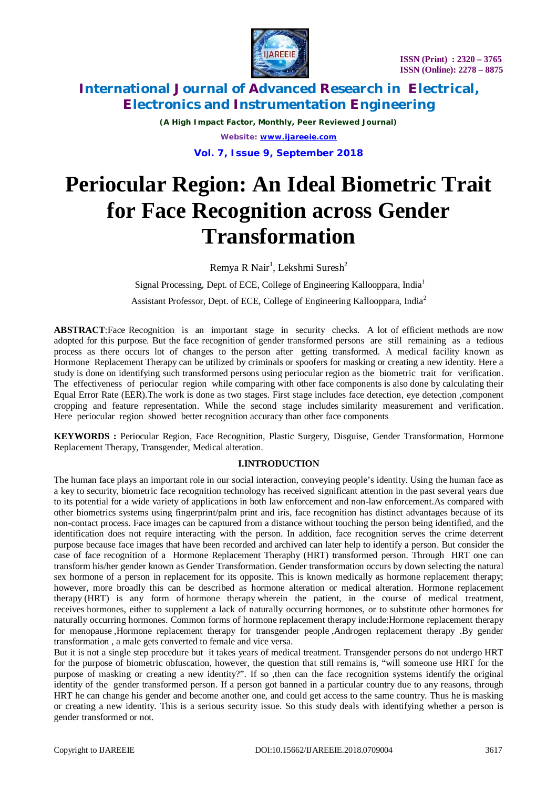

*(A High Impact Factor, Monthly, Peer Reviewed Journal) Website: [www.ijareeie.com](http://www.ijareeie.com)* **Vol. 7, Issue 9, September 2018**

# **Periocular Region: An Ideal Biometric Trait for Face Recognition across Gender Transformation**

Remya R Nair<sup>1</sup>, Lekshmi Suresh<sup>2</sup>

Signal Processing, Dept. of ECE, College of Engineering Kallooppara, India<sup>1</sup> Assistant Professor, Dept. of ECE, College of Engineering Kallooppara, India<sup>2</sup>

**ABSTRACT**:Face Recognition is an important stage in security checks. A lot of efficient methods are now adopted for this purpose. But the face recognition of gender transformed persons are still remaining as a tedious process as there occurs lot of changes to the person after getting transformed. A medical facility known as Hormone Replacement Therapy can be utilized by criminals or spoofers for masking or creating a new identity. Here a study is done on identifying such transformed persons using periocular region as the biometric trait for verification. The effectiveness of periocular region while comparing with other face components is also done by calculating their Equal Error Rate (EER).The work is done as two stages. First stage includes face detection, eye detection ,component cropping and feature representation. While the second stage includes similarity measurement and verification. Here periocular region showed better recognition accuracy than other face components

**KEYWORDS :** Periocular Region, Face Recognition, Plastic Surgery, Disguise, Gender Transformation, Hormone Replacement Therapy, Transgender, Medical alteration.

### **I.INTRODUCTION**

The human face plays an important role in our social interaction, conveying people's identity. Using the human face as a key to security, biometric face recognition technology has received significant attention in the past several years due to its potential for a wide variety of applications in both law enforcement and non-law enforcement.As compared with other biometrics systems using fingerprint/palm print and iris, face recognition has distinct advantages because of its non-contact process. Face images can be captured from a distance without touching the person being identified, and the identification does not require interacting with the person. In addition, face recognition serves the crime deterrent purpose because face images that have been recorded and archived can later help to identify a person. But consider the case of face recognition of a Hormone Replacement Theraphy (HRT) transformed person. Through HRT one can transform his/her gender known as Gender Transformation. Gender transformation occurs by down selecting the natural sex hormone of a person in replacement for its opposite. This is known medically as hormone replacement therapy; however, more broadly this can be described as hormone alteration or medical alteration. Hormone replacement therapy (HRT) is any form of hormone therapy wherein the patient, in the course of medical treatment, receives hormones, either to supplement a lack of naturally occurring hormones, or to substitute other hormones for naturally occurring hormones. Common forms of hormone replacement therapy include:Hormone replacement therapy for menopause ,Hormone replacement therapy for transgender people ,Androgen replacement therapy .By gender transformation , a male gets converted to female and vice versa.

But it is not a single step procedure but it takes years of medical treatment. Transgender persons do not undergo HRT for the purpose of biometric obfuscation, however, the question that still remains is, "will someone use HRT for the purpose of masking or creating a new identity?". If so ,then can the face recognition systems identify the original identity of the gender transformed person. If a person got banned in a particular country due to any reasons, through HRT he can change his gender and become another one, and could get access to the same country. Thus he is masking or creating a new identity. This is a serious security issue. So this study deals with identifying whether a person is gender transformed or not.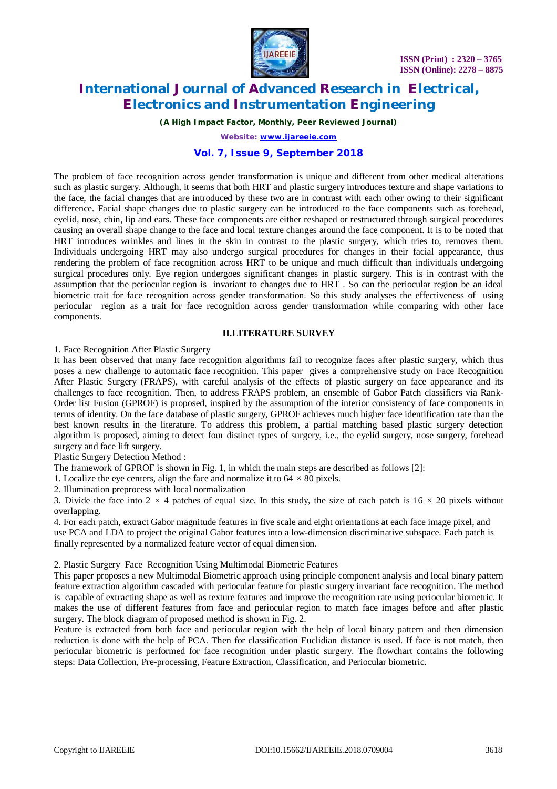

*(A High Impact Factor, Monthly, Peer Reviewed Journal)*

*Website: [www.ijareeie.com](http://www.ijareeie.com)*

### **Vol. 7, Issue 9, September 2018**

The problem of face recognition across gender transformation is unique and different from other medical alterations such as plastic surgery. Although, it seems that both HRT and plastic surgery introduces texture and shape variations to the face, the facial changes that are introduced by these two are in contrast with each other owing to their significant difference. Facial shape changes due to plastic surgery can be introduced to the face components such as forehead, eyelid, nose, chin, lip and ears. These face components are either reshaped or restructured through surgical procedures causing an overall shape change to the face and local texture changes around the face component. It is to be noted that HRT introduces wrinkles and lines in the skin in contrast to the plastic surgery, which tries to, removes them. Individuals undergoing HRT may also undergo surgical procedures for changes in their facial appearance, thus rendering the problem of face recognition across HRT to be unique and much difficult than individuals undergoing surgical procedures only. Eye region undergoes significant changes in plastic surgery. This is in contrast with the assumption that the periocular region is invariant to changes due to HRT . So can the periocular region be an ideal biometric trait for face recognition across gender transformation. So this study analyses the effectiveness of using periocular region as a trait for face recognition across gender transformation while comparing with other face components.

### **II.LITERATURE SURVEY**

1. Face Recognition After Plastic Surgery

It has been observed that many face recognition algorithms fail to recognize faces after plastic surgery, which thus poses a new challenge to automatic face recognition. This paper gives a comprehensive study on Face Recognition After Plastic Surgery (FRAPS), with careful analysis of the effects of plastic surgery on face appearance and its challenges to face recognition. Then, to address FRAPS problem, an ensemble of Gabor Patch classifiers via Rank-Order list Fusion (GPROF) is proposed, inspired by the assumption of the interior consistency of face components in terms of identity. On the face database of plastic surgery, GPROF achieves much higher face identification rate than the best known results in the literature. To address this problem, a partial matching based plastic surgery detection algorithm is proposed, aiming to detect four distinct types of surgery, i.e., the eyelid surgery, nose surgery, forehead surgery and face lift surgery.

Plastic Surgery Detection Method :

The framework of GPROF is shown in Fig. 1, in which the main steps are described as follows [2]:

1. Localize the eye centers, align the face and normalize it to  $64 \times 80$  pixels.

2. Illumination preprocess with local normalization

3. Divide the face into  $2 \times 4$  patches of equal size. In this study, the size of each patch is  $16 \times 20$  pixels without overlapping.

4. For each patch, extract Gabor magnitude features in five scale and eight orientations at each face image pixel, and use PCA and LDA to project the original Gabor features into a low-dimension discriminative subspace. Each patch is finally represented by a normalized feature vector of equal dimension.

2. Plastic Surgery Face Recognition Using Multimodal Biometric Features

This paper proposes a new Multimodal Biometric approach using principle component analysis and local binary pattern feature extraction algorithm cascaded with periocular feature for plastic surgery invariant face recognition. The method is capable of extracting shape as well as texture features and improve the recognition rate using periocular biometric. It makes the use of different features from face and periocular region to match face images before and after plastic surgery. The block diagram of proposed method is shown in Fig. 2.

Feature is extracted from both face and periocular region with the help of local binary pattern and then dimension reduction is done with the help of PCA. Then for classification Euclidian distance is used. If face is not match, then periocular biometric is performed for face recognition under plastic surgery. The flowchart contains the following steps: Data Collection, Pre-processing, Feature Extraction, Classification, and Periocular biometric.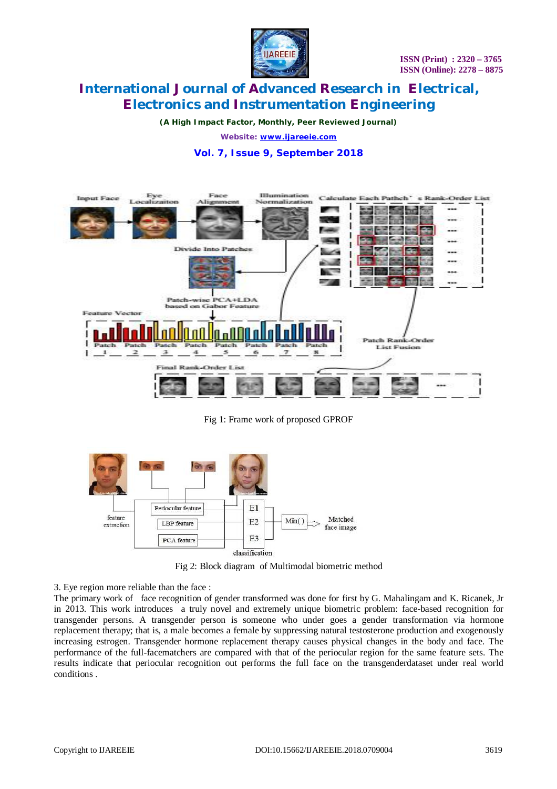

*(A High Impact Factor, Monthly, Peer Reviewed Journal)*

*Website: [www.ijareeie.com](http://www.ijareeie.com)*

### **Vol. 7, Issue 9, September 2018**



Fig 1: Frame work of proposed GPROF



Fig 2: Block diagram of Multimodal biometric method

3. Eye region more reliable than the face :

The primary work of face recognition of gender transformed was done for first by G. Mahalingam and K. Ricanek, Jr in 2013. This work introduces a truly novel and extremely unique biometric problem: face-based recognition for transgender persons. A transgender person is someone who under goes a gender transformation via hormone replacement therapy; that is, a male becomes a female by suppressing natural testosterone production and exogenously increasing estrogen. Transgender hormone replacement therapy causes physical changes in the body and face. The performance of the full-facematchers are compared with that of the periocular region for the same feature sets. The results indicate that periocular recognition out performs the full face on the transgenderdataset under real world conditions .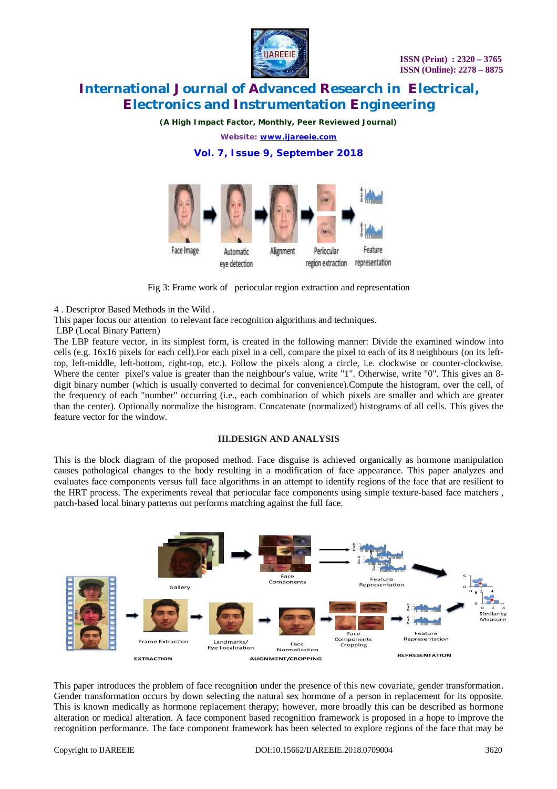

*(A High Impact Factor, Monthly, Peer Reviewed Journal)*

*Website: [www.ijareeie.com](http://www.ijareeie.com)*

### **Vol. 7, Issue 9, September 2018**



Fig 3: Frame work of periocular region extraction and representation

4 . Descriptor Based Methods in the Wild .

This paper focus our attention to relevant face recognition algorithms and techniques.

LBP (Local Binary Pattern)

The LBP feature vector, in its simplest form, is created in the following manner: Divide the examined window into cells (e.g. 16x16 pixels for each cell).For each pixel in a cell, compare the pixel to each of its 8 neighbours (on its lefttop, left-middle, left-bottom, right-top, etc.). Follow the pixels along a circle, i.e. clockwise or counter-clockwise. Where the center pixel's value is greater than the neighbour's value, write "1". Otherwise, write "0". This gives an 8digit binary number (which is usually converted to decimal for convenience).Compute the histogram, over the cell, of the frequency of each "number" occurring (i.e., each combination of which pixels are smaller and which are greater than the center). Optionally normalize the histogram. Concatenate (normalized) histograms of all cells. This gives the feature vector for the window.

### **III.DESIGN AND ANALYSIS**

This is the block diagram of the proposed method. Face disguise is achieved organically as hormone manipulation causes pathological changes to the body resulting in a modification of face appearance. This paper analyzes and evaluates face components versus full face algorithms in an attempt to identify regions of the face that are resilient to the HRT process. The experiments reveal that periocular face components using simple texture-based face matchers , patch-based local binary patterns out performs matching against the full face.



This paper introduces the problem of face recognition under the presence of this new covariate, gender transformation. Gender transformation occurs by down selecting the natural sex hormone of a person in replacement for its opposite. This is known medically as hormone replacement therapy; however, more broadly this can be described as hormone alteration or medical alteration. A face component based recognition framework is proposed in a hope to improve the recognition performance. The face component framework has been selected to explore regions of the face that may be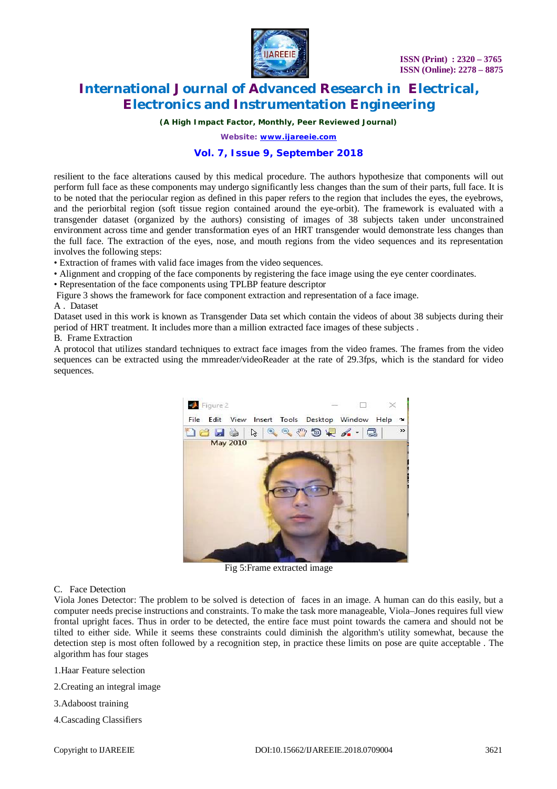

*(A High Impact Factor, Monthly, Peer Reviewed Journal)*

*Website: [www.ijareeie.com](http://www.ijareeie.com)*

### **Vol. 7, Issue 9, September 2018**

resilient to the face alterations caused by this medical procedure. The authors hypothesize that components will out perform full face as these components may undergo significantly less changes than the sum of their parts, full face. It is to be noted that the periocular region as defined in this paper refers to the region that includes the eyes, the eyebrows, and the periorbital region (soft tissue region contained around the eye-orbit). The framework is evaluated with a transgender dataset (organized by the authors) consisting of images of 38 subjects taken under unconstrained environment across time and gender transformation eyes of an HRT transgender would demonstrate less changes than the full face. The extraction of the eyes, nose, and mouth regions from the video sequences and its representation involves the following steps:

• Extraction of frames with valid face images from the video sequences.

• Alignment and cropping of the face components by registering the face image using the eye center coordinates.

• Representation of the face components using TPLBP feature descriptor

Figure 3 shows the framework for face component extraction and representation of a face image.

A . Dataset

Dataset used in this work is known as Transgender Data set which contain the videos of about 38 subjects during their period of HRT treatment. It includes more than a million extracted face images of these subjects .

B. Frame Extraction

A protocol that utilizes standard techniques to extract face images from the video frames. The frames from the video sequences can be extracted using the mmreader/videoReader at the rate of 29.3fps, which is the standard for video sequences.



Fig 5:Frame extracted image

C. Face Detection

Viola Jones Detector: The problem to be solved is detection of faces in an image. A human can do this easily, but a computer needs precise instructions and constraints. To make the task more manageable, Viola–Jones requires full view frontal upright faces. Thus in order to be detected, the entire face must point towards the camera and should not be tilted to either side. While it seems these constraints could diminish the algorithm's utility somewhat, because the detection step is most often followed by a recognition step, in practice these limits on pose are quite acceptable . The algorithm has four stages

- 1.Haar Feature selection
- 2.Creating an integral image
- 3.Adaboost training
- 4.Cascading Classifiers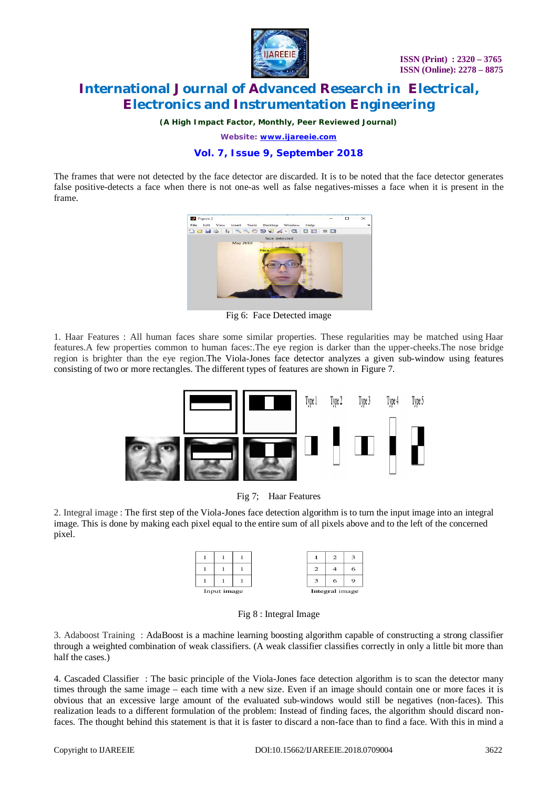

*(A High Impact Factor, Monthly, Peer Reviewed Journal)*

*Website: [www.ijareeie.com](http://www.ijareeie.com)*

### **Vol. 7, Issue 9, September 2018**

The frames that were not detected by the face detector are discarded. It is to be noted that the face detector generates false positive-detects a face when there is not one-as well as false negatives-misses a face when it is present in the frame.



Fig 6: Face Detected image

1. Haar Features : All human faces share some similar properties. These regularities may be matched using Haar features.A few properties common to human faces:.The eye region is darker than the upper-cheeks.The nose bridge region is brighter than the eye region.The Viola-Jones face detector analyzes a given sub-window using features consisting of two or more rectangles. The different types of features are shown in Figure 7.





2. Integral image : The first step of the Viola-Jones face detection algorithm is to turn the input image into an integral image. This is done by making each pixel equal to the entire sum of all pixels above and to the left of the concerned pixel.

|             |  |  | n              |  |  |
|-------------|--|--|----------------|--|--|
| Input image |  |  | Integral image |  |  |

Fig 8 : Integral Image

3. Adaboost Training : AdaBoost is a machine learning boosting algorithm capable of constructing a strong classifier through a weighted combination of weak classifiers. (A weak classifier classifies correctly in only a little bit more than half the cases.)

4. Cascaded Classifier : The basic principle of the Viola-Jones face detection algorithm is to scan the detector many times through the same image – each time with a new size. Even if an image should contain one or more faces it is obvious that an excessive large amount of the evaluated sub-windows would still be negatives (non-faces). This realization leads to a different formulation of the problem: Instead of finding faces, the algorithm should discard nonfaces. The thought behind this statement is that it is faster to discard a non-face than to find a face. With this in mind a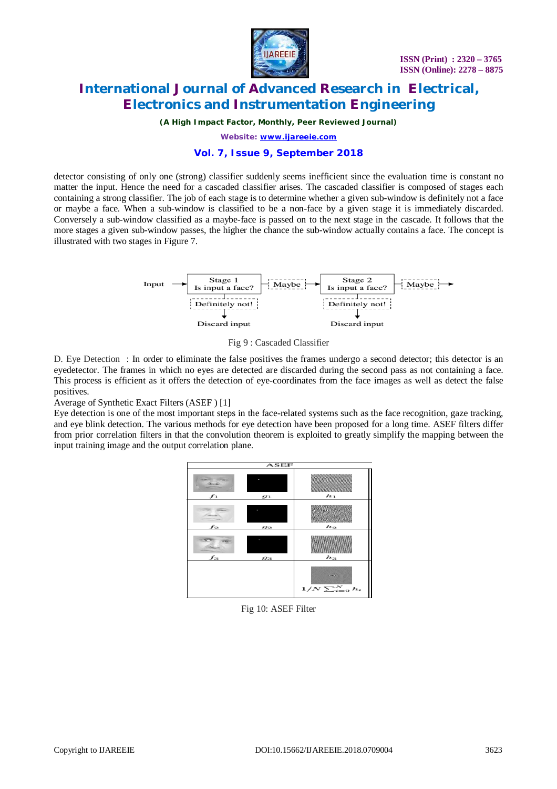

*(A High Impact Factor, Monthly, Peer Reviewed Journal)*

*Website: [www.ijareeie.com](http://www.ijareeie.com)*

### **Vol. 7, Issue 9, September 2018**

detector consisting of only one (strong) classifier suddenly seems inefficient since the evaluation time is constant no matter the input. Hence the need for a cascaded classifier arises. The cascaded classifier is composed of stages each containing a strong classifier. The job of each stage is to determine whether a given sub-window is definitely not a face or maybe a face. When a sub-window is classified to be a non-face by a given stage it is immediately discarded. Conversely a sub-window classified as a maybe-face is passed on to the next stage in the cascade. It follows that the more stages a given sub-window passes, the higher the chance the sub-window actually contains a face. The concept is illustrated with two stages in Figure 7.



Fig 9 : Cascaded Classifier

D. Eye Detection : In order to eliminate the false positives the frames undergo a second detector; this detector is an eyedetector. The frames in which no eyes are detected are discarded during the second pass as not containing a face. This process is efficient as it offers the detection of eye-coordinates from the face images as well as detect the false positives.

Average of Synthetic Exact Filters (ASEF ) [1]

Eye detection is one of the most important steps in the face-related systems such as the face recognition, gaze tracking, and eye blink detection. The various methods for eye detection have been proposed for a long time. ASEF filters differ from prior correlation filters in that the convolution theorem is exploited to greatly simplify the mapping between the input training image and the output correlation plane.

| $\overline{\mathbf{ASEF}}$ |       |                          |  |  |  |
|----------------------------|-------|--------------------------|--|--|--|
| <b>Park</b><br>$f_1$       | $g_1$ | $h_1$                    |  |  |  |
| $f_2$                      | $g_2$ | $h_2$                    |  |  |  |
| $f_3$                      | $g_3$ | $h_3$                    |  |  |  |
|                            |       | $1/N \sum_{i=0}^{N} h_i$ |  |  |  |

Fig 10: ASEF Filter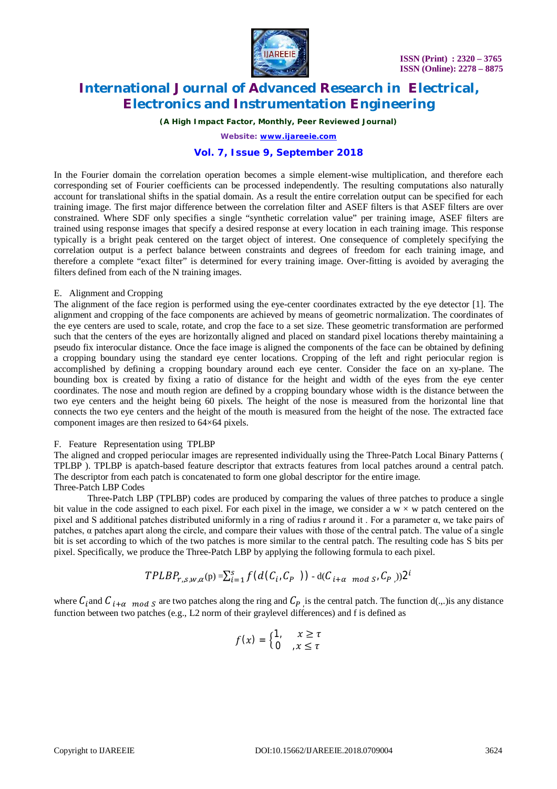

*(A High Impact Factor, Monthly, Peer Reviewed Journal)*

*Website: [www.ijareeie.com](http://www.ijareeie.com)*

### **Vol. 7, Issue 9, September 2018**

In the Fourier domain the correlation operation becomes a simple element-wise multiplication, and therefore each corresponding set of Fourier coefficients can be processed independently. The resulting computations also naturally account for translational shifts in the spatial domain. As a result the entire correlation output can be specified for each training image. The first major difference between the correlation filter and ASEF filters is that ASEF filters are over constrained. Where SDF only specifies a single "synthetic correlation value" per training image, ASEF filters are trained using response images that specify a desired response at every location in each training image. This response typically is a bright peak centered on the target object of interest. One consequence of completely specifying the correlation output is a perfect balance between constraints and degrees of freedom for each training image, and therefore a complete "exact filter" is determined for every training image. Over-fitting is avoided by averaging the filters defined from each of the N training images.

#### E. Alignment and Cropping

The alignment of the face region is performed using the eye-center coordinates extracted by the eye detector [1]. The alignment and cropping of the face components are achieved by means of geometric normalization. The coordinates of the eye centers are used to scale, rotate, and crop the face to a set size. These geometric transformation are performed such that the centers of the eyes are horizontally aligned and placed on standard pixel locations thereby maintaining a pseudo fix interocular distance. Once the face image is aligned the components of the face can be obtained by defining a cropping boundary using the standard eye center locations. Cropping of the left and right periocular region is accomplished by defining a cropping boundary around each eye center. Consider the face on an xy-plane. The bounding box is created by fixing a ratio of distance for the height and width of the eyes from the eye center coordinates. The nose and mouth region are defined by a cropping boundary whose width is the distance between the two eye centers and the height being 60 pixels. The height of the nose is measured from the horizontal line that connects the two eye centers and the height of the mouth is measured from the height of the nose. The extracted face component images are then resized to 64×64 pixels.

### F. Feature Representation using TPLBP

The aligned and cropped periocular images are represented individually using the Three-Patch Local Binary Patterns ( TPLBP ). TPLBP is apatch-based feature descriptor that extracts features from local patches around a central patch. The descriptor from each patch is concatenated to form one global descriptor for the entire image. Three-Patch LBP Codes

### Three-Patch LBP (TPLBP) codes are produced by comparing the values of three patches to produce a single bit value in the code assigned to each pixel. For each pixel in the image, we consider a  $w \times w$  patch centered on the pixel and S additional patches distributed uniformly in a ring of radius r around it. For a parameter  $\alpha$ , we take pairs of patches, α patches apart along the circle, and compare their values with those of the central patch. The value of a single bit is set according to which of the two patches is more similar to the central patch. The resulting code has S bits per pixel. Specifically, we produce the Three-Patch LBP by applying the following formula to each pixel.

$$
TPLBP_{r,s,w,\alpha}({\bf p}) = \sum_{i=1}^{s} f(d(C_i,C_{P})) - d(C_{i+\alpha \mod S},C_{P}))2^{i}
$$

where  $C_i$  and  $C_{i+\alpha \mod S}$  are two patches along the ring and  $C_{P_i}$  is the central patch. The function d(...) is any distance function between two patches (e.g., L2 norm of their graylevel differences) and f is defined as

$$
f(x) = \begin{cases} 1, & x \geq \tau \\ 0, & x \leq \tau \end{cases}
$$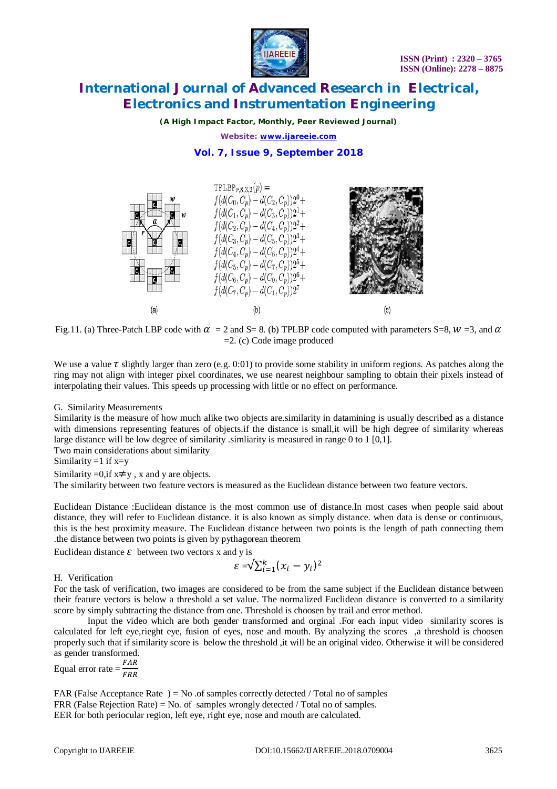

*(A High Impact Factor, Monthly, Peer Reviewed Journal)*

*Website: [www.ijareeie.com](http://www.ijareeie.com)*

### **Vol. 7, Issue 9, September 2018**



Fig.11. (a) Three-Patch LBP code with  $\alpha = 2$  and S= 8. (b) TPLBP code computed with parameters S=8,  $w = 3$ , and  $\alpha$ =2. (c) Code image produced

We use a value  $\tau$  slightly larger than zero (e.g. 0:01) to provide some stability in uniform regions. As patches along the ring may not align with integer pixel coordinates, we use nearest neighbour sampling to obtain their pixels instead of interpolating their values. This speeds up processing with little or no effect on performance.

### G. Similarity Measurements

Similarity is the measure of how much alike two objects are.similarity in datamining is usually described as a distance with dimensions representing features of objects.if the distance is small, it will be high degree of similarity whereas large distance will be low degree of similarity .simliarity is measured in range 0 to 1 [0,1].

Two main considerations about similarity

Similarity =1 if  $x=y$ 

Similarity =0,if  $x \neq y$ , x and y are objects.

The similarity between two feature vectors is measured as the Euclidean distance between two feature vectors.

Euclidean Distance :Euclidean distance is the most common use of distance.In most cases when people said about distance, they will refer to Euclidean distance. it is also known as simply distance. when data is dense or continuous, this is the best proximity measure. The Euclidean distance between two points is the length of path connecting them .the distance between two points is given by pythagorean theorem

Euclidean distance  $\varepsilon$  between two vectors x and y is

$$
\varepsilon = \sqrt{\sum_{i=1}^k (x_i - y_i)^2}
$$

H. Verification

For the task of verification, two images are considered to be from the same subject if the Euclidean distance between their feature vectors is below a threshold a set value. The normalized Euclidean distance is converted to a similarity score by simply subtracting the distance from one. Threshold is choosen by trail and error method.

Input the video which are both gender transformed and orginal .For each input video similarity scores is calculated for left eye,rieght eye, fusion of eyes, nose and mouth. By analyzing the scores ,a threshold is choosen properly such that if similarity score is below the threshold ,it will be an original video. Otherwise it will be considered as gender transformed.

Equal error rate =  $\frac{FAR}{FBR}$ ிோோ

FAR (False Acceptance Rate ) = No .of samples correctly detected / Total no of samples FRR (False Rejection Rate) = No. of samples wrongly detected / Total no of samples. EER for both periocular region, left eye, right eye, nose and mouth are calculated.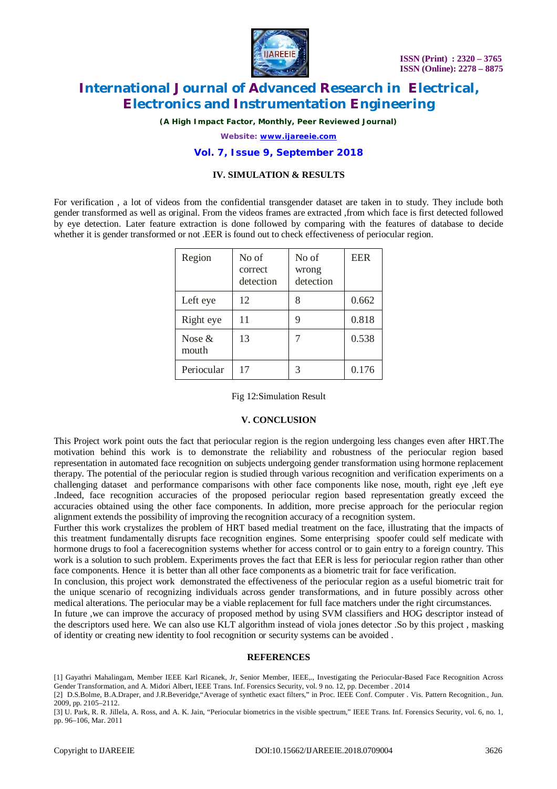

*(A High Impact Factor, Monthly, Peer Reviewed Journal)*

*Website: [www.ijareeie.com](http://www.ijareeie.com)*

### **Vol. 7, Issue 9, September 2018**

### **IV. SIMULATION & RESULTS**

For verification , a lot of videos from the confidential transgender dataset are taken in to study. They include both gender transformed as well as original. From the videos frames are extracted ,from which face is first detected followed by eye detection. Later feature extraction is done followed by comparing with the features of database to decide whether it is gender transformed or not. EER is found out to check effectiveness of periocular region.

| Region             | No of<br>correct<br>detection | No of<br>wrong<br>detection | <b>EER</b> |
|--------------------|-------------------------------|-----------------------------|------------|
| Left eye           | 12                            | 8                           | 0.662      |
| Right eye          | 11                            | 9                           | 0.818      |
| Nose $\&$<br>mouth | 13                            | 7                           | 0.538      |
| Periocular         | 17                            | 3                           | 0.176      |

Fig 12:Simulation Result

#### **V. CONCLUSION**

This Project work point outs the fact that periocular region is the region undergoing less changes even after HRT.The motivation behind this work is to demonstrate the reliability and robustness of the periocular region based representation in automated face recognition on subjects undergoing gender transformation using hormone replacement therapy. The potential of the periocular region is studied through various recognition and verification experiments on a challenging dataset and performance comparisons with other face components like nose, mouth, right eye ,left eye .Indeed, face recognition accuracies of the proposed periocular region based representation greatly exceed the accuracies obtained using the other face components. In addition, more precise approach for the periocular region alignment extends the possibility of improving the recognition accuracy of a recognition system.

Further this work crystalizes the problem of HRT based medial treatment on the face, illustrating that the impacts of this treatment fundamentally disrupts face recognition engines. Some enterprising spoofer could self medicate with hormone drugs to fool a facerecognition systems whether for access control or to gain entry to a foreign country. This work is a solution to such problem. Experiments proves the fact that EER is less for periocular region rather than other face components. Hence it is better than all other face components as a biometric trait for face verification.

In conclusion, this project work demonstrated the effectiveness of the periocular region as a useful biometric trait for the unique scenario of recognizing individuals across gender transformations, and in future possibly across other medical alterations. The periocular may be a viable replacement for full face matchers under the right circumstances.

In future ,we can improve the accuracy of proposed method by using SVM classifiers and HOG descriptor instead of the descriptors used here. We can also use KLT algorithm instead of viola jones detector .So by this project , masking of identity or creating new identity to fool recognition or security systems can be avoided .

#### **REFERENCES**

<sup>[1]</sup> Gayathri Mahalingam, Member IEEE Karl Ricanek, Jr, Senior Member, IEEE,., Investigating the Periocular-Based Face Recognition Across Gender Transformation, and A. Midori Albert, IEEE Trans. Inf. Forensics Security, vol. 9 no. 12, pp. December . 2014

<sup>[2]</sup> D.S.Bolme, B.A.Draper, and J.R.Beveridge,"Average of synthetic exact filters," in Proc. IEEE Conf. Computer . Vis. Pattern Recognition., Jun. 2009, pp. 2105–2112.

<sup>[3]</sup> U. Park, R. R. Jillela, A. Ross, and A. K. Jain, "Periocular biometrics in the visible spectrum," IEEE Trans. Inf. Forensics Security, vol. 6, no. 1, pp. 96–106, Mar. 2011